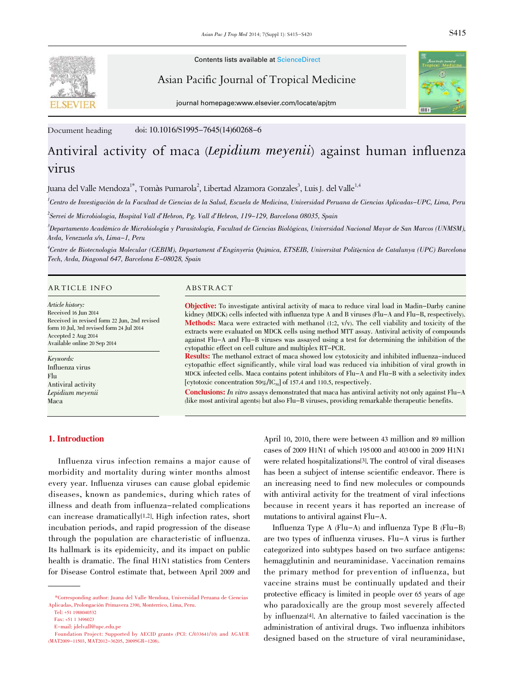

Contents lists available at ScienceDirect

Asian Pacific Journal of Tropical Medicine



journal homepage:www.elsevier.com/locate/apjtm

Document heading doi: 10.1016/S1995-7645(14)60268-6

# Antiviral activity of maca (Lepidium meyenii) against human influenza virus

Juana del Valle Mendoza $^1^*$ , Tomàs Pumarola $^2$ , Libertad Alzamora Gonzales $^3$ , Luis J. del Valle $^{1,4}$ 

<sup>1</sup>Centro de Investigación de la Facultad de Ciencias de la Salud, Escuela de Medicina, Universidad Peruana de Ciencias Aplicadas–UPC, Lima, Peru

2 Servei de Microbiologia, Hospital Vall d'Hebron, Pg. Vall d'Hebron, 119-129, Barcelona 08035, Spain

3 Departamento Académico de Microbiología y Parasitología, Facultad de Ciencias Biológicas, Universidad Nacional Mayor de San Marcos (UNMSM), Avda, Venezuela s/n, Lima-1, Peru

4 Centre de Biotecnologia Molecular (CEBIM), Departament d'Enginyeria Química, ETSEIB, Universitat Politècnica de Catalunya (UPC) Barcelona Tech, Avda, Diagonal 647, Barcelona E-08028, Spain

#### ARTICLE INFO ABSTRACT

Article history: Received 16 Jun 2014 Received in revised form 22 Jun, 2nd revised form 10 Jul, 3rd revised form 24 Jul 2014 Accepted 2 Aug 2014 Available online 20 Sep 2014

Keywords: Influenza virus Flu Antiviral activity Lepidium meyenii Maca

Objective: To investigate antiviral activity of maca to reduce viral load in Madin-Darby canine kidney (MDCK) cells infected with influenza type A and B viruses (Flu-A and Flu-B, respectively). **Methods:** Maca were extracted with methanol  $(1:2, v/v)$ . The cell viability and toxicity of the extracts were evaluated on MDCK cells using method MTT assay. Antiviral activity of compounds against Flu-A and Flu-B viruses was assayed using a test for determining the inhibition of the cytopathic effect on cell culture and multiplex RT-PCR.

Results: The methanol extract of maca showed low cytotoxicity and inhibited influenza-induced cytopathic effect significantly, while viral load was reduced via inhibition of viral growth in MDCK infected cells. Maca contains potent inhibitors of Flu-A and Flu-B with a selectivity index [cytotoxic concentration 50%/IC<sub>50</sub>] of 157.4 and 110.5, respectively.

**Conclusions:** In vitro assays demonstrated that maca has antiviral activity not only against  $Flu-A$ (like most antiviral agents) but also Flu-B viruses, providing remarkable therapeutic benefits.

## 1. Introduction

 Influenza virus infection remains a major cause of morbidity and mortality during winter months almost every year. Influenza viruses can cause global epidemic diseases, known as pandemics, during which rates of illness and death from influenza-related complications can increase dramatically[1,2]. High infection rates, short incubation periods, and rapid progression of the disease through the population are characteristic of influenza. Its hallmark is its epidemicity, and its impact on public health is dramatic. The final H1N1 statistics from Centers for Disease Control estimate that, between April 2009 and

April 10, 2010, there were between 43 million and 89 million cases of 2009 H1N1 of which 195 000 and 403 000 in 2009 H1N1 were related hospitalizations[3]. The control of viral diseases has been a subject of intense scientific endeavor. There is an increasing need to find new molecules or compounds with antiviral activity for the treatment of viral infections because in recent years it has reported an increase of mutations to antiviral against Flu-A.

Influenza Type A  $(Flu-A)$  and influenza Type B  $(Flu-B)$ are two types of influenza viruses. Flu-A virus is further categorized into subtypes based on two surface antigens: hemagglutinin and neuraminidase. Vaccination remains the primary method for prevention of influenza, but vaccine strains must be continually updated and their protective efficacy is limited in people over 65 years of age who paradoxically are the group most severely affected by influenza[4]. An alternative to failed vaccination is the administration of antiviral drugs. Two influenza inhibitors designed based on the structure of viral neuraminidase,

 <sup>\*</sup>Corresponding author: Juana del Valle Mendoza, Universidad Peruana de Ciencias Aplicadas, Prolongación Primavera 2390, Monterrico, Lima, Peru.

Tel: +51 1988040532

Fax: +51 1 3496023

E-mail: jdelvall@upc.edu.pe

Foundation Project: Supported by AECID grants (PCI: C/033641/10) and AGAUR (MAT2009-11503, MAT2012-36205, 2009SGR-1208).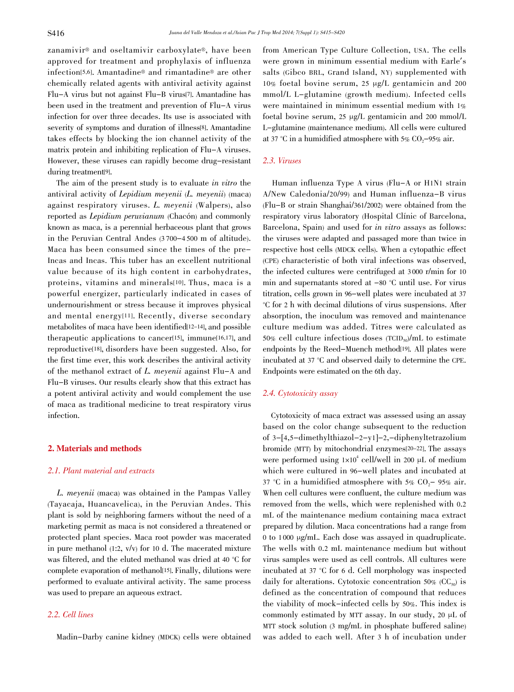zanamivir® and oseltamivir carboxylate®, have been approved for treatment and prophylaxis of influenza infection[5,6]. Amantadine® and rimantadine® are other chemically related agents with antiviral activity against Flu-A virus but not against Flu-B virus[7]. Amantadine has been used in the treatment and prevention of Flu-A virus infection for over three decades. Its use is associated with severity of symptoms and duration of illness[8]. Amantadine takes effects by blocking the ion channel activity of the matrix protein and inhibiting replication of Flu-A viruses. However, these viruses can rapidly become drug-resistant during treatment[9].

 The aim of the present study is to evaluate in vitro the antiviral activity of Lepidium meyenii (L. meyenii) (maca) against respiratory viruses. L. meyenii (Walpers), also reported as Lepidium peruvianum (Chacón) and commonly known as maca, is a perennial herbaceous plant that grows in the Peruvian Central Andes (3 700-4 500 m of altitude). Maca has been consumed since the times of the pre-Incas and Incas. This tuber has an excellent nutritional value because of its high content in carbohydrates, proteins, vitamins and minerals[10]. Thus, maca is a powerful energizer, particularly indicated in cases of undernourishment or stress because it improves physical and mental energy[11]. Recently, diverse secondary metabolites of maca have been identified[12-14], and possible therapeutic applications to cancer[15], immune[16,17], and reproductive[18], disorders have been suggested. Also, for the first time ever, this work describes the antiviral activity of the methanol extract of L. meyenii against Flu-A and Flu-B viruses. Our results clearly show that this extract has a potent antiviral activity and would complement the use of maca as traditional medicine to treat respiratory virus infection.

#### 2. Materials and methods

### 2.1. Plant material and extracts

 L. meyenii (maca) was obtained in the Pampas Valley (Tayacaja, Huancavelica), in the Peruvian Andes. This plant is sold by neighboring farmers without the need of a marketing permit as maca is not considered a threatened or protected plant species. Maca root powder was macerated in pure methanol (1:2, v/v) for 10 d. The macerated mixture was filtered, and the eluted methanol was dried at 40 °C for complete evaporation of methanol[15]. Finally, dilutions were performed to evaluate antiviral activity. The same process was used to prepare an aqueous extract.

### 2.2. Cell lines

Madin-Darby canine kidney (MDCK) cells were obtained

from American Type Culture Collection, USA. The cells were grown in minimum essential medium with Earle's salts (Gibco BRL, Grand Island, NY) supplemented with 10% foetal bovine serum, 25 μg/L gentamicin and 200 mmol/L L-glutamine (growth medium). Infected cells were maintained in minimum essential medium with 1% foetal bovine serum, 25 μg/L gentamicin and 200 mmol/L L-glutamine (maintenance medium). All cells were cultured at 37 °C in a humidified atmosphere with  $5\%$  CO<sub>2</sub>-95% air.

#### 2.3. Viruses

 Human influenza Type A virus (Flu-A or H1N1 strain A/New Caledonia/20/99) and Human influenza-B virus (Flu-B or strain Shanghai/361/2002) were obtained from the respiratory virus laboratory (Hospital Clínic of Barcelona, Barcelona, Spain) and used for in vitro assays as follows: the viruses were adapted and passaged more than twice in respective host cells (MDCK cells). When a cytopathic effect (CPE) characteristic of both viral infections was observed, the infected cultures were centrifuged at 3 000 r/min for 10 min and supernatants stored at -<sup>80</sup> °C until use. For virus titration, cells grown in 96-well plates were incubated at 37 °C for 2 h with decimal dilutions of virus suspensions. After absorption, the inoculum was removed and maintenance culture medium was added. Titres were calculated as 50% cell culture infectious doses  $(TCID_{50})/mL$  to estimate endpoints by the Reed-Muench method<sup>[19]</sup>. All plates were incubated at 37 °C and observed daily to determine the CPE. Endpoints were estimated on the 6th day.

#### 2.4. Cytotoxicity assay

 Cytotoxicity of maca extract was assessed using an assay based on the color change subsequent to the reduction of 3-[4,5-dimethylthiazol-2-y1]-2,-diphenyltetrazolium bromide (MTT) by mitochondrial enzymes[20-22]. The assays were performed using  $1 \times 10^4$  cell/well in 200  $\mu$ L of medium which were cultured in 96-well plates and incubated at 37 °C in a humidified atmosphere with 5% CO<sub>2</sub>- 95% air. When cell cultures were confluent, the culture medium was removed from the wells, which were replenished with 0.2 mL of the maintenance medium containing maca extract prepared by dilution. Maca concentrations had a range from 0 to 1 000 μg/mL. Each dose was assayed in quadruplicate. The wells with 0.2 mL maintenance medium but without virus samples were used as cell controls. All cultures were incubated at 37 °C for 6 d. Cell morphology was inspected daily for alterations. Cytotoxic concentration 50% ( $CC_{50}$ ) is defined as the concentration of compound that reduces the viability of mock-infected cells by 50%. This index is commonly estimated by MTT assay. In our study, 20 μL of MTT stock solution (3 mg/mL in phosphate buffered saline) was added to each well. After 3 h of incubation under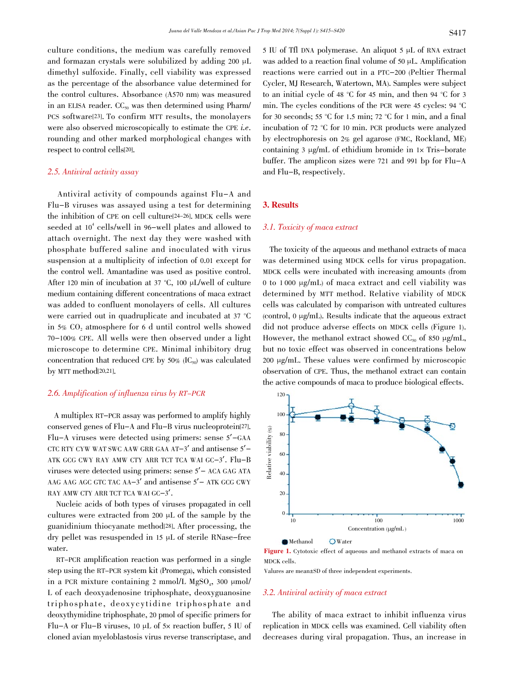culture conditions, the medium was carefully removed and formazan crystals were solubilized by adding 200 μL dimethyl sulfoxide. Finally, cell viability was expressed as the percentage of the absorbance value determined for the control cultures. Absorbance (A570 nm) was measured in an ELISA reader.  $CC_{50}$  was then determined using Pharm/ PCS software[23]. To confirm MTT results, the monolayers were also observed microscopically to estimate the CPE *i.e.* rounding and other marked morphological changes with respect to control cells[20].

### 2.5. Antiviral activity assay

 Antiviral activity of compounds against Flu-A and Flu-B viruses was assayed using a test for determining the inhibition of CPE on cell culture[24-26]. MDCK cells were seeded at  $10^4$  cells/well in 96-well plates and allowed to attach overnight. The next day they were washed with phosphate buffered saline and inoculated with virus suspension at a multiplicity of infection of 0.01 except for the control well. Amantadine was used as positive control. After 120 min of incubation at 37 °C, 100 μL/well of culture medium containing different concentrations of maca extract was added to confluent monolayers of cells. All cultures were carried out in quadruplicate and incubated at 37 °C in  $5\%$  CO<sub>2</sub> atmosphere for 6 d until control wells showed 70-100% CPE. All wells were then observed under a light microscope to determine CPE. Minimal inhibitory drug concentration that reduced CPE by  $50\%$  (IC<sub>50</sub>) was calculated by MTT method[20,21].

#### 2.6. Amplification of influenza virus by RT-PCR

 A multiplex RT-PCR assay was performed to amplify highly conserved genes of Flu-A and Flu-B virus nucleoprotein[27]. Flu-A viruses were detected using primers: sense 5'-GAA CTC RTY CYW WAT SWC AAW GRR GAA AT-3' and antisense 5'- ATK GCG CWY RAY AMW CTY ARR TCT TCA WAI GC-3'. Flu-B viruses were detected using primers: sense 5'- ACA GAG ATA AAG AAG AGC GTC TAC  $AA-3'$  and antisense  $5'$  – ATK GCG CWY RAY AMW CTY ARR TCT TCA WAI GC-3'.

 Nucleic acids of both types of viruses propagated in cell cultures were extracted from 200 μL of the sample by the guanidinium thiocyanate method<sup>[28]</sup>. After processing, the dry pellet was resuspended in 15 μL of sterile RNase-free water.

 RT-PCR amplification reaction was performed in a single step using the RT-PCR system kit (Promega), which consisted in a PCR mixture containing 2 mmol/L  $MgSO<sub>4</sub>$ , 300  $\mu$ mol/ L of each deoxyadenosine triphosphate, deoxyguanosine triphosphate, deoxycytidine triphosphate and deoxythymidine triphosphate, 20 pmol of specific primers for Flu-A or Flu-B viruses, 10 μL of 5x reaction buffer, 5 IU of cloned avian myeloblastosis virus reverse transcriptase, and 5 IU of Tfl DNA polymerase. An aliquot 5 μL of RNA extract was added to a reaction final volume of 50 μL. Amplification reactions were carried out in a PTC-200 (Peltier Thermal Cycler, MJ Research, Watertown, MA). Samples were subject to an initial cycle of 48 °C for 45 min, and then 94 °C for 3 min. The cycles conditions of the PCR were 45 cycles: 94 °C for 30 seconds; 55 °C for 1.5 min; 72 °C for 1 min, and a final incubation of 72 °C for 10 min. PCR products were analyzed by electrophoresis on 2% gel agarose (FMC, Rockland, ME) containing 3 μg/mL of ethidium bromide in  $1 \times$  Tris-borate buffer. The amplicon sizes were 721 and 991 bp for Flu-A and Flu-B, respectively.

#### 3. Results

#### 3.1. Toxicity of maca extract

 The toxicity of the aqueous and methanol extracts of maca was determined using MDCK cells for virus propagation. MDCK cells were incubated with increasing amounts (from 0 to 1 000 μg/mL) of maca extract and cell viability was determined by MTT method. Relative viability of MDCK cells was calculated by comparison with untreated cultures (control, 0 μg/mL). Results indicate that the aqueous extract did not produce adverse effects on MDCK cells (Figure 1). However, the methanol extract showed  $CC_{50}$  of 850 µg/mL, but no toxic effect was observed in concentrations below 200 μg/mL. These values were confirmed by microscopic observation of CPE. Thus, the methanol extract can contain the active compounds of maca to produce biological effects.



Figure 1. Cytotoxic effect of aqueous and methanol extracts of maca on MDCK cells.

Valures are mean±SD of three independent experiments.

#### 3.2. Antiviral activity of maca extract

 The ability of maca extract to inhibit influenza virus replication in MDCK cells was examined. Cell viability often decreases during viral propagation. Thus, an increase in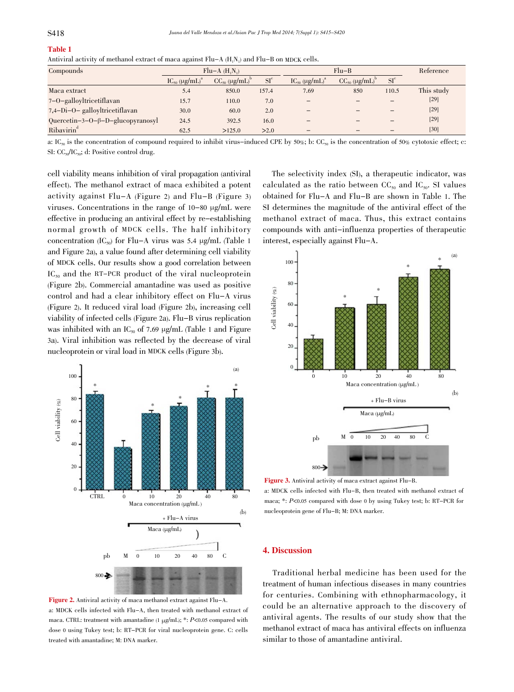# Table 1

| Antiviral activity of methanol extract of maca against $Flu-A(H_1N_1)$ and $Flu-B$ on MDCK cells. |  |
|---------------------------------------------------------------------------------------------------|--|
|---------------------------------------------------------------------------------------------------|--|

| Compounds                                | $Flu-A(H,N)$                          |                                      |              | $Flu-B$                              |                                      |              | Reference  |
|------------------------------------------|---------------------------------------|--------------------------------------|--------------|--------------------------------------|--------------------------------------|--------------|------------|
|                                          | $\text{IC}_{50}$ (µg/mL) <sup>a</sup> | $CC_{50}$ ( $\mu$ g/mL) <sup>t</sup> | $SI^{\circ}$ | $IC_{50}$ ( $\mu$ g/mL) <sup>a</sup> | $CC_{50}$ ( $\mu$ g/mL) <sup>1</sup> | $SI^{\circ}$ |            |
| Maca extract                             | 5.4                                   | 850.0                                | 157.4        | 7.69                                 | 850                                  | 110.5        | This study |
| 7-O-galloyltricetiflavan                 | 15.7                                  | 110.0                                | 7.0          | -                                    |                                      |              | $[29]$     |
| 7,4-Di-O- galloyltricetiflavan           | 30.0                                  | 60.0                                 | 2.0          |                                      |                                      |              | $[29]$     |
| Quercetin-3-O- $\beta$ -D-glucopyranosyl | 24.5                                  | 392.5                                | 16.0         | -                                    |                                      |              | $[29]$     |
| Ribavirin <sup>d</sup>                   | 62.5                                  | >125.0                               | >2.0         | $\overline{\phantom{a}}$             |                                      |              | $[30]$     |

a: IC<sub>50</sub> is the concentration of compound required to inhibit virus-induced CPE by 50%; b: CC<sub>50</sub> is the concentration of 50% cytotoxic effect; c: SI:  $CC_{50}/IC_{50}$ ; d: Positive control drug.

cell viability means inhibition of viral propagation (antiviral effect). The methanol extract of maca exhibited a potent activity against Flu-A (Figure 2) and Flu-B (Figure 3) viruses. Concentrations in the range of 10-80 μg/mL were effective in producing an antiviral effect by re-establishing normal growth of MDCK cells. The half inhibitory concentration (IC<sub>50</sub>) for Flu-A virus was 5.4 μg/mL (Table 1 and Figure 2a), a value found after determining cell viability of MDCK cells. Our results show a good correlation between  $IC_{50}$  and the RT-PCR product of the viral nucleoprotein (Figure 2b). Commercial amantadine was used as positive control and had a clear inhibitory effect on Flu-A virus (Figure 2). It reduced viral load (Figure 2b), increasing cell viability of infected cells (Figure 2a). Flu-B virus replication was inhibited with an  $IC_{50}$  of 7.69 μg/mL (Table 1 and Figure 3a). Viral inhibition was reflected by the decrease of viral nucleoprotein or viral load in MDCK cells (Figure 3b).





 The selectivity index (SI), a therapeutic indicator, was calculated as the ratio between  $CC_{50}$  and  $IC_{50}$ . SI values obtained for Flu-A and Flu-B are shown in Table 1. The SI determines the magnitude of the antiviral effect of the methanol extract of maca. Thus, this extract contains compounds with anti-influenza properties of therapeutic interest, especially against Flu-A.



Figure 3. Antiviral activity of maca extract against Flu-B. a: MDCK cells infected with Flu-B, then treated with methanol extract of maca; \*: P<0.05 compared with dose 0 by using Tukey test; b: RT-PCR for nucleoprotein gene of Flu-B; M: DNA marker.

#### 4. Discussion

 Traditional herbal medicine has been used for the treatment of human infectious diseases in many countries for centuries. Combining with ethnopharmacology, it could be an alternative approach to the discovery of antiviral agents. The results of our study show that the methanol extract of maca has antiviral effects on influenza similar to those of amantadine antiviral.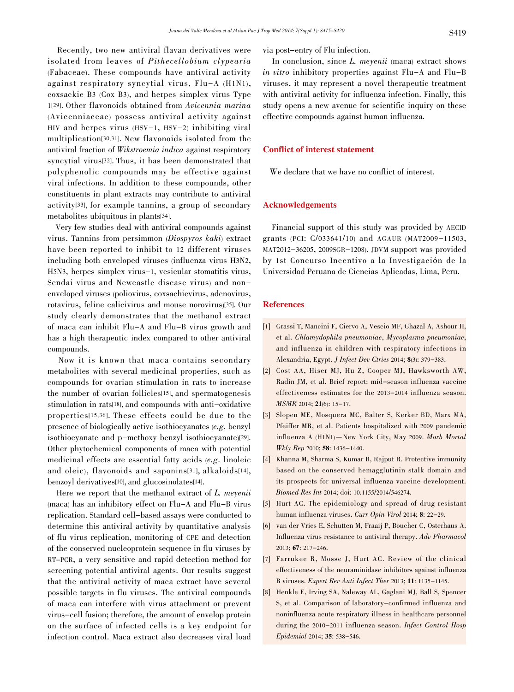Recently, two new antiviral flavan derivatives were isolated from leaves of Pithecellobium clypearia (Fabaceae). These compounds have antiviral activity against respiratory syncytial virus, Flu-A (H1N1), coxsackie B3 (Cox B3), and herpes simplex virus Type 1[29]. Other flavonoids obtained from Avicennia marina (Avicenniaceae) possess antiviral activity against HIV and herpes virus (HSV-1, HSV-2) inhibiting viral multiplication[30,31]. New flavonoids isolated from the antiviral fraction of Wikstroemia indica against respiratory syncytial virus[32]. Thus, it has been demonstrated that polyphenolic compounds may be effective against viral infections. In addition to these compounds, other constituents in plant extracts may contribute to antiviral activity[33], for example tannins, a group of secondary metabolites ubiquitous in plants[34].

 Very few studies deal with antiviral compounds against virus. Tannins from persimmon (Diospyros kaki) extract have been reported to inhibit to 12 different viruses including both enveloped viruses (influenza virus H3N2, H5N3, herpes simplex virus-1, vesicular stomatitis virus, Sendai virus and Newcastle disease virus) and nonenveloped viruses (poliovirus, coxsachievirus, adenovirus, rotavirus, feline calicivirus and mouse norovirus)[35]. Our study clearly demonstrates that the methanol extract of maca can inhibit Flu-A and Flu-B virus growth and has a high therapeutic index compared to other antiviral compounds.

 Now it is known that maca contains secondary metabolites with several medicinal properties, such as compounds for ovarian stimulation in rats to increase the number of ovarian follicles[15], and spermatogenesis stimulation in rats[18], and compounds with anti-oxidative properties[15,36]. These effects could be due to the presence of biologically active isothiocyanates (e.g. benzyl isothiocyanate and p-methoxy benzyl isothiocyanate)[29]. Other phytochemical components of maca with potential medicinal effects are essential fatty acids (e.g. linoleic and oleic), flavonoids and saponins[31], alkaloids[14], benzoyl derivatives[10], and glucosinolates[14].

Here we report that the methanol extract of L. meyenii (maca) has an inhibitory effect on Flu-A and Flu-B virus replication. Standard cell-based assays were conducted to determine this antiviral activity by quantitative analysis of flu virus replication, monitoring of CPE and detection of the conserved nucleoprotein sequence in flu viruses by RT-PCR, a very sensitive and rapid detection method for screening potential antiviral agents. Our results suggest that the antiviral activity of maca extract have several possible targets in flu viruses. The antiviral compounds of maca can interfere with virus attachment or prevent virus-cell fusion; therefore, the amount of envelop protein on the surface of infected cells is a key endpoint for infection control. Maca extract also decreases viral load via post-entry of Flu infection.

In conclusion, since L. meyenii (maca) extract shows in vitro inhibitory properties against Flu-A and Flu-B viruses, it may represent a novel therapeutic treatment with antiviral activity for influenza infection. Finally, this study opens a new avenue for scientific inquiry on these effective compounds against human influenza.

### Conflict of interest statement

We declare that we have no conflict of interest.

#### Acknowledgements

 Financial support of this study was provided by AECID grants (PCI: C/033641/10) and AGAUR (MAT2009-11503, MAT2012-36205, 2009SGR-1208). JDVM support was provided by 1st Concurso Incentivo a la Investigación de la Universidad Peruana de Ciencias Aplicadas, Lima, Peru.

#### References

- [1] Grassi T, Mancini F, Ciervo A, Vescio MF, Ghazal A, Ashour H, et al. Chlamydophila pneumoniae, Mycoplasma pneumoniae, and influenza in children with respiratory infections in Alexandria, Egypt. J Infect Dev Ctries 2014; 8(3): 379-383.
- [2] Cost AA, Hiser MJ, Hu Z, Cooper MJ, Hawksworth AW, Radin JM, et al. Brief report: mid-season influenza vaccine effectiveness estimates for the 2013-2014 influenza season. MSMR 2014; 21(6): 15-17.
- [3] Slopen ME, Mosquera MC, Balter S, Kerker BD, Marx MA, Pfeiffer MR, et al. Patients hospitalized with 2009 pandemic influenza A (H1N1)—New York City, May 2009. Morb Mortal Wkly Rep 2010; 58: 1436-1440.
- [4] Khanna M, Sharma S, Kumar B, Rajput R. Protective immunity based on the conserved hemagglutinin stalk domain and its prospects for universal influenza vaccine development. Biomed Res Int 2014; doi: 10.1155/2014/546274.
- [5] Hurt AC. The epidemiology and spread of drug resistant human influenza viruses. Curr Opin Virol 2014; 8: 22-29.
- [6] van der Vries E, Schutten M, Fraaij P, Boucher C, Osterhaus A. Influenza virus resistance to antiviral therapy. Adv Pharmacol 2013; 67: 217-246.
- [7] Farrukee R, Mosse J, Hurt AC. Review of the clinical effectiveness of the neuraminidase inhibitors against influenza B viruses. Expert Rev Anti Infect Ther 2013; 11: 1135-1145.
- [8] Henkle E, Irving SA, Naleway AL, Gaglani MJ, Ball S, Spencer S, et al. Comparison of laboratory-confirmed influenza and noninfluenza acute respiratory illness in healthcare personnel during the 2010-2011 influenza season. Infect Control Hosp Epidemiol 2014; 35: 538-546.